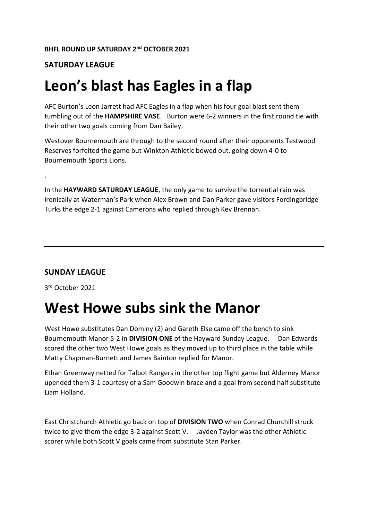#### **SATURDAY LEAGUE**

#### **Leon's blast has Eagles in a flap**

AFC Burton's Leon Jarrett had AFC Eagles in a flap when his four goal blast sent them tumbling out of the **HAMPSHIRE VASE**. Burton were 6-2 winners in the first round tie with their other two goals coming from Dan Bailey.

Westover Bournemouth are through to the second round after their opponents Testwood Reserves forfeited the game but Winkton Athletic bowed out, going down 4-0 to Bournemouth Sports Lions.

In the **HAYWARD SATURDAY LEAGUE**, the only game to survive the torrential rain was ironically at Waterman's Park when Alex Brown and Dan Parker gave visitors Fordingbridge Turks the edge 2-1 against Camerons who replied through Kev Brennan.

#### **SUNDAY LEAGUE**

3 rd October 2021

.

#### **West Howe subs sink the Manor**

West Howe substitutes Dan Dominy (2) and Gareth Else came off the bench to sink Bournemouth Manor 5-2 in **DIVISION ONE** of the Hayward Sunday League. Dan Edwards scored the other two West Howe goals as they moved up to third place in the table while Matty Chapman-Burnett and James Bainton replied for Manor.

Ethan Greenway netted for Talbot Rangers in the other top flight game but Alderney Manor upended them 3-1 courtesy of a Sam Goodwin brace and a goal from second half substitute Liam Holland.

East Christchurch Athletic go back on top of **DIVISION TWO** when Conrad Churchill struck twice to give them the edge 3-2 against Scott V. Jayden Taylor was the other Athletic scorer while both Scott V goals came from substitute Stan Parker.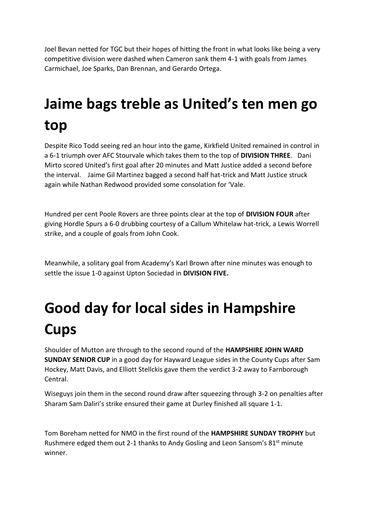Joel Bevan netted for TGC but their hopes of hitting the front in what looks like being a very competitive division were dashed when Cameron sank them 4-1 with goals from James Carmichael, Joe Sparks, Dan Brennan, and Gerardo Ortega.

# **Jaime bags treble as United's ten men go top**

Despite Rico Todd seeing red an hour into the game, Kirkfield United remained in control in a 6-1 triumph over AFC Stourvale which takes them to the top of **DIVISION THREE**. Dani Mirto scored United's first goal after 20 minutes and Matt Justice added a second before the interval. Jaime Gil Martinez bagged a second half hat-trick and Matt Justice struck again while Nathan Redwood provided some consolation for 'Vale.

Hundred per cent Poole Rovers are three points clear at the top of **DIVISION FOUR** after giving Hordle Spurs a 6-0 drubbing courtesy of a Callum Whitelaw hat-trick, a Lewis Worrell strike, and a couple of goals from John Cook.

Meanwhile, a solitary goal from Academy's Karl Brown after nine minutes was enough to settle the issue 1-0 against Upton Sociedad in **DIVISION FIVE.**

# **Good day for local sides in Hampshire Cups**

Shoulder of Mutton are through to the second round of the **HAMPSHIRE JOHN WARD SUNDAY SENIOR CUP** in a good day for Hayward League sides in the County Cups after Sam Hockey, Matt Davis, and Elliott Stellckis gave them the verdict 3-2 away to Farnborough Central.

Wiseguys join them in the second round draw after squeezing through 3-2 on penalties after Sharam Sam Daliri's strike ensured their game at Durley finished all square 1-1.

Tom Boreham netted for NMO in the first round of the **HAMPSHIRE SUNDAY TROPHY** but Rushmere edged them out 2-1 thanks to Andy Gosling and Leon Sansom's 81<sup>st</sup> minute winner.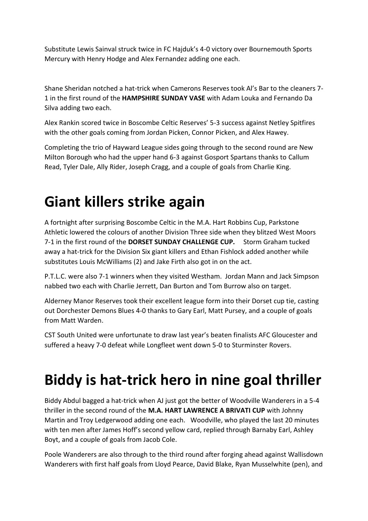Substitute Lewis Sainval struck twice in FC Hajduk's 4-0 victory over Bournemouth Sports Mercury with Henry Hodge and Alex Fernandez adding one each.

Shane Sheridan notched a hat-trick when Camerons Reserves took Al's Bar to the cleaners 7- 1 in the first round of the **HAMPSHIRE SUNDAY VASE** with Adam Louka and Fernando Da Silva adding two each.

Alex Rankin scored twice in Boscombe Celtic Reserves' 5-3 success against Netley Spitfires with the other goals coming from Jordan Picken, Connor Picken, and Alex Hawey.

Completing the trio of Hayward League sides going through to the second round are New Milton Borough who had the upper hand 6-3 against Gosport Spartans thanks to Callum Read, Tyler Dale, Ally Rider, Joseph Cragg, and a couple of goals from Charlie King.

### **Giant killers strike again**

A fortnight after surprising Boscombe Celtic in the M.A. Hart Robbins Cup, Parkstone Athletic lowered the colours of another Division Three side when they blitzed West Moors 7-1 in the first round of the **DORSET SUNDAY CHALLENGE CUP.** Storm Graham tucked away a hat-trick for the Division Six giant killers and Ethan Fishlock added another while substitutes Louis McWilliams (2) and Jake Firth also got in on the act.

P.T.L.C. were also 7-1 winners when they visited Westham. Jordan Mann and Jack Simpson nabbed two each with Charlie Jerrett, Dan Burton and Tom Burrow also on target.

Alderney Manor Reserves took their excellent league form into their Dorset cup tie, casting out Dorchester Demons Blues 4-0 thanks to Gary Earl, Matt Pursey, and a couple of goals from Matt Warden.

CST South United were unfortunate to draw last year's beaten finalists AFC Gloucester and suffered a heavy 7-0 defeat while Longfleet went down 5-0 to Sturminster Rovers.

### **Biddy is hat-trick hero in nine goal thriller**

Biddy Abdul bagged a hat-trick when AJ just got the better of Woodville Wanderers in a 5-4 thriller in the second round of the **M.A. HART LAWRENCE A BRIVATI CUP** with Johnny Martin and Troy Ledgerwood adding one each. Woodville, who played the last 20 minutes with ten men after James Hoff's second yellow card, replied through Barnaby Earl, Ashley Boyt, and a couple of goals from Jacob Cole.

Poole Wanderers are also through to the third round after forging ahead against Wallisdown Wanderers with first half goals from Lloyd Pearce, David Blake, Ryan Musselwhite (pen), and